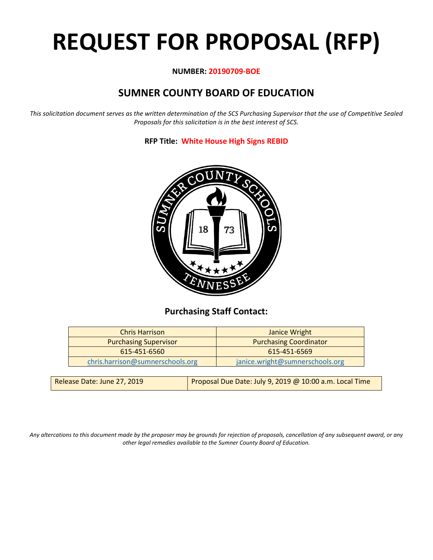# **REQUEST FOR PROPOSAL (RFP)**

#### **NUMBER: 20190709-BOE**

# **SUMNER COUNTY BOARD OF EDUCATION**

*This solicitation document serves as the written determination of the SCS Purchasing Supervisor that the use of Competitive Sealed Proposals for this solicitation is in the best interest of SCS.*

**RFP Title: White House High Signs REBID**



# **Purchasing Staff Contact:**

| <b>Chris Harrison</b>            | Janice Wright                   |
|----------------------------------|---------------------------------|
| <b>Purchasing Supervisor</b>     | <b>Purchasing Coordinator</b>   |
| 615-451-6560                     | 615-451-6569                    |
| chris.harrison@sumnerschools.org | janice.wright@sumnerschools.org |
|                                  |                                 |

| Release Date: June 27, 2019 | Proposal Due Date: July 9, 2019 @ 10:00 a.m. Local Time |
|-----------------------------|---------------------------------------------------------|
|-----------------------------|---------------------------------------------------------|

*Any altercations to this document made by the proposer may be grounds for rejection of proposals, cancellation of any subsequent award, or any other legal remedies available to the Sumner County Board of Education.*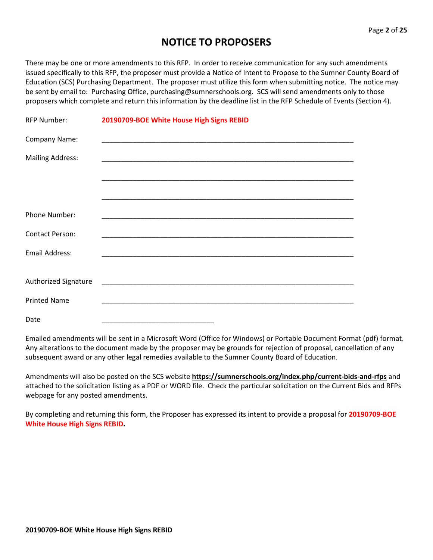# **NOTICE TO PROPOSERS**

There may be one or more amendments to this RFP. In order to receive communication for any such amendments issued specifically to this RFP, the proposer must provide a Notice of Intent to Propose to the Sumner County Board of Education (SCS) Purchasing Department. The proposer must utilize this form when submitting notice. The notice may be sent by email to: Purchasing Office, purchasing@sumnerschools.org. SCS will send amendments only to those proposers which complete and return this information by the deadline list in the RFP Schedule of Events (Section 4).

| <b>RFP Number:</b>      | 20190709-BOE White House High Signs REBID                                                                             |
|-------------------------|-----------------------------------------------------------------------------------------------------------------------|
| Company Name:           | <u> 1989 - Johann John Stoff, deutscher Stoffen und der Stoffen und der Stoffen und der Stoffen und der Stoffen u</u> |
| <b>Mailing Address:</b> |                                                                                                                       |
|                         |                                                                                                                       |
|                         |                                                                                                                       |
| Phone Number:           | <u> 1989 - Johann John Stoff, deutscher Stoffen und der Stoffen und der Stoffen und der Stoffen und der Stoffen</u>   |
| <b>Contact Person:</b>  | <u> 1980 - Johann John Stone, Amerikaansk politiker (* 1905)</u>                                                      |
| <b>Email Address:</b>   |                                                                                                                       |
|                         |                                                                                                                       |
| Authorized Signature    |                                                                                                                       |
| <b>Printed Name</b>     |                                                                                                                       |
| Date                    |                                                                                                                       |

Emailed amendments will be sent in a Microsoft Word (Office for Windows) or Portable Document Format (pdf) format. Any alterations to the document made by the proposer may be grounds for rejection of proposal, cancellation of any subsequent award or any other legal remedies available to the Sumner County Board of Education.

Amendments will also be posted on the SCS website **https://sumnerschools.org/index.php/current-bids-and-rfps** and attached to the solicitation listing as a PDF or WORD file. Check the particular solicitation on the Current Bids and RFPs webpage for any posted amendments.

By completing and returning this form, the Proposer has expressed its intent to provide a proposal for **20190709-BOE White House High Signs REBID.**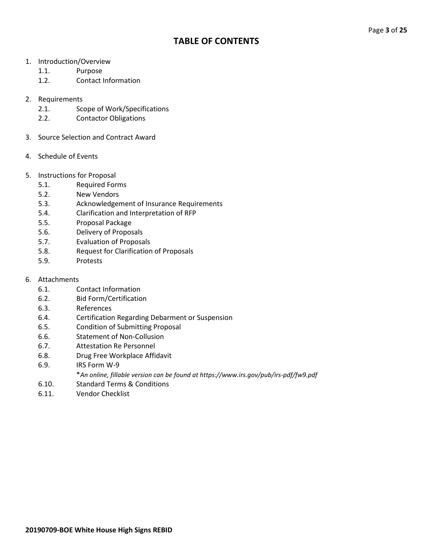### **TABLE OF CONTENTS**

- 1. Introduction/Overview
	- 1.1. Purpose
	- 1.2. Contact Information

#### 2. Requirements

- 2.1. Scope of Work/Specifications
- 2.2. Contactor Obligations
- 3. Source Selection and Contract Award
- 4. Schedule of Events
- 5. Instructions for Proposal
	- 5.1. Required Forms
	- 5.2. New Vendors
	- 5.3. Acknowledgement of Insurance Requirements
	- 5.4. Clarification and Interpretation of RFP
	- 5.5. Proposal Package
	- 5.6. Delivery of Proposals
	- 5.7. Evaluation of Proposals
	- 5.8. Request for Clarification of Proposals
	- 5.9. Protests

#### 6. Attachments

- 6.1. Contact Information
- 6.2. Bid Form/Certification
- 6.3. References
- 6.4. Certification Regarding Debarment or Suspension
- 6.5. Condition of Submitting Proposal
- 6.6. Statement of Non-Collusion
- 6.7. Attestation Re Personnel
- 6.8. Drug Free Workplace Affidavit
- 6.9. IRS Form W-9
	- \**An online, fillable version can be found at https://www.irs.gov/pub/irs-pdf/fw9.pdf*
- 6.10. Standard Terms & Conditions
- 6.11. Vendor Checklist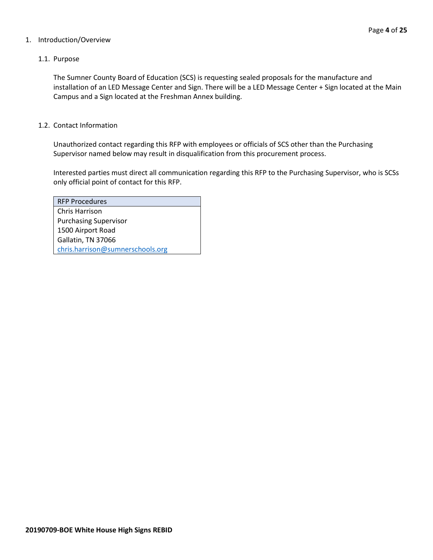#### 1. Introduction/Overview

#### 1.1. Purpose

The Sumner County Board of Education (SCS) is requesting sealed proposals for the manufacture and installation of an LED Message Center and Sign. There will be a LED Message Center + Sign located at the Main Campus and a Sign located at the Freshman Annex building.

#### 1.2. Contact Information

Unauthorized contact regarding this RFP with employees or officials of SCS other than the Purchasing Supervisor named below may result in disqualification from this procurement process.

Interested parties must direct all communication regarding this RFP to the Purchasing Supervisor, who is SCSs only official point of contact for this RFP.

| <b>RFP Procedures</b>            |
|----------------------------------|
| Chris Harrison                   |
| <b>Purchasing Supervisor</b>     |
| 1500 Airport Road                |
| Gallatin, TN 37066               |
| chris.harrison@sumnerschools.org |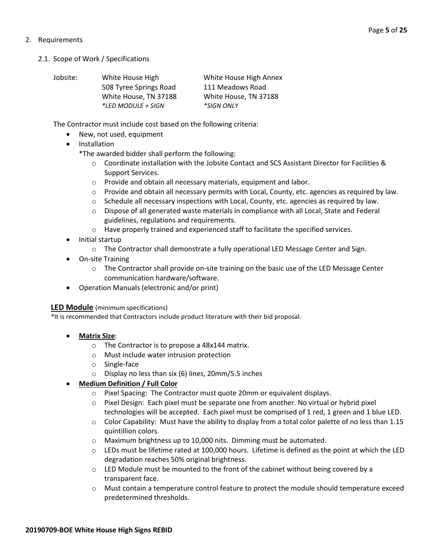#### 2. Requirements

2.1. Scope of Work / Specifications

| Jobsite: | White House High          | White House High Annex |
|----------|---------------------------|------------------------|
|          | 508 Tyree Springs Road    | 111 Meadows Road       |
|          | White House, TN 37188     | White House, TN 37188  |
|          | <i>*LED MODULE + SIGN</i> | <i>*SIGN ONLY</i>      |

The Contractor must include cost based on the following criteria:

- New, not used, equipment
- Installation
	- \*The awarded bidder shall perform the following:
		- o Coordinate installation with the Jobsite Contact and SCS Assistant Director for Facilities & Support Services.
		- o Provide and obtain all necessary materials, equipment and labor.
		- $\circ$  Provide and obtain all necessary permits with Local, County, etc. agencies as required by law.
		- $\circ$  Schedule all necessary inspections with Local, County, etc. agencies as required by law.
		- o Dispose of all generated waste materials in compliance with all Local, State and Federal guidelines, regulations and requirements.
		- o Have properly trained and experienced staff to facilitate the specified services.
- Initial startup
	- o The Contractor shall demonstrate a fully operational LED Message Center and Sign.
- On-site Training
	- o The Contractor shall provide on-site training on the basic use of the LED Message Center communication hardware/software.
- Operation Manuals (electronic and/or print)

**LED Module** (minimum specifications)

\*It is recommended that Contractors include product literature with their bid proposal.

- **Matrix Size**:
	- o The Contractor is to propose a 48x144 matrix.
	- o Must include water intrusion protection
	- o Single-face
	- o Display no less than six (6) lines, 20mm/5.5 inches

#### • **Medium Definition / Full Color**

- o Pixel Spacing: The Contractor must quote 20mm or equivalent displays.
- o Pixel Design: Each pixel must be separate one from another. No virtual or hybrid pixel technologies will be accepted. Each pixel must be comprised of 1 red, 1 green and 1 blue LED.
- $\circ$  Color Capability: Must have the ability to display from a total color palette of no less than 1.15 quintillion colors.
- o Maximum brightness up to 10,000 nits. Dimming must be automated.
- o LEDs must be lifetime rated at 100,000 hours. Lifetime is defined as the point at which the LED degradation reaches 50% original brightness.
- $\circ$  LED Module must be mounted to the front of the cabinet without being covered by a transparent face.
- o Must contain a temperature control feature to protect the module should temperature exceed predetermined thresholds.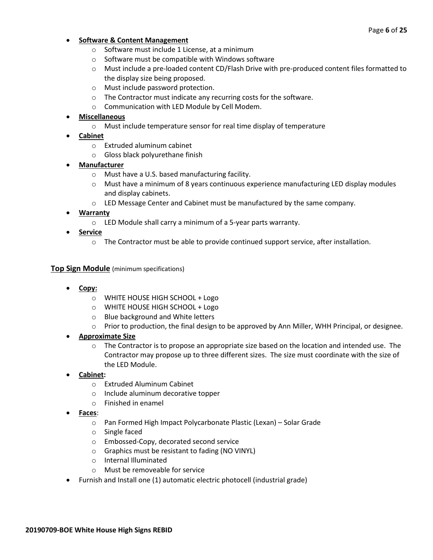#### • **Software & Content Management**

- o Software must include 1 License, at a minimum
- o Software must be compatible with Windows software
- o Must include a pre-loaded content CD/Flash Drive with pre-produced content files formatted to the display size being proposed.
- o Must include password protection.
- o The Contractor must indicate any recurring costs for the software.
- o Communication with LED Module by Cell Modem.

#### • **Miscellaneous**

- o Must include temperature sensor for real time display of temperature
- **Cabinet**
	- o Extruded aluminum cabinet
	- o Gloss black polyurethane finish
- **Manufacturer**
	- o Must have a U.S. based manufacturing facility.
	- $\circ$  Must have a minimum of 8 years continuous experience manufacturing LED display modules and display cabinets.
	- $\circ$  LED Message Center and Cabinet must be manufactured by the same company.

#### • **Warranty**

- o LED Module shall carry a minimum of a 5-year parts warranty.
- **Service**
	- o The Contractor must be able to provide continued support service, after installation.

#### **Top Sign Module** (minimum specifications)

- **Copy:**
	- o WHITE HOUSE HIGH SCHOOL + Logo
	- o WHITE HOUSE HIGH SCHOOL + Logo
	- o Blue background and White letters
	- o Prior to production, the final design to be approved by Ann Miller, WHH Principal, or designee.

#### • **Approximate Size**

- $\circ$  The Contractor is to propose an appropriate size based on the location and intended use. The Contractor may propose up to three different sizes. The size must coordinate with the size of the LED Module.
- **Cabinet:**
	- o Extruded Aluminum Cabinet
	- o Include aluminum decorative topper
	- o Finished in enamel
- **Faces**:
	- o Pan Formed High Impact Polycarbonate Plastic (Lexan) Solar Grade
	- o Single faced
	- o Embossed-Copy, decorated second service
	- o Graphics must be resistant to fading (NO VINYL)
	- o Internal Illuminated
	- o Must be removeable for service
- Furnish and Install one (1) automatic electric photocell (industrial grade)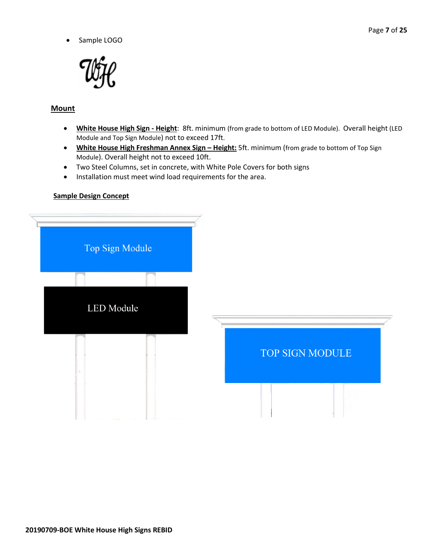• Sample LOGO



#### **Mount**

- **White House High Sign - Height**: 8ft. minimum (from grade to bottom of LED Module). Overall height (LED Module and Top Sign Module) not to exceed 17ft.
- **White House High Freshman Annex Sign – Height:** 5ft. minimum (from grade to bottom of Top Sign Module). Overall height not to exceed 10ft.
- Two Steel Columns, set in concrete, with White Pole Covers for both signs
- Installation must meet wind load requirements for the area.

#### **Sample Design Concept**

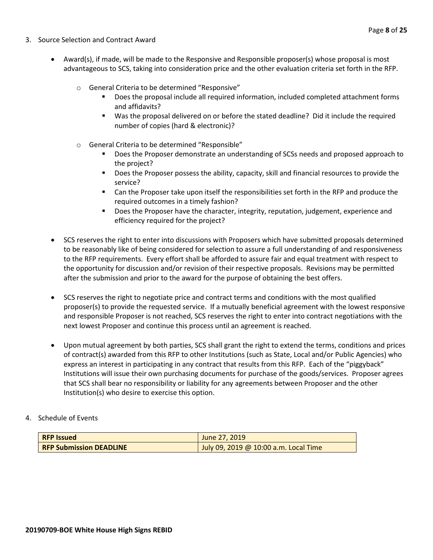- 3. Source Selection and Contract Award
	- Award(s), if made, will be made to the Responsive and Responsible proposer(s) whose proposal is most advantageous to SCS, taking into consideration price and the other evaluation criteria set forth in the RFP.
		- o General Criteria to be determined "Responsive"
			- Does the proposal include all required information, included completed attachment forms and affidavits?
			- Was the proposal delivered on or before the stated deadline? Did it include the required number of copies (hard & electronic)?
		- o General Criteria to be determined "Responsible"
			- Does the Proposer demonstrate an understanding of SCSs needs and proposed approach to the project?
			- **Does the Proposer possess the ability, capacity, skill and financial resources to provide the** service?
			- Can the Proposer take upon itself the responsibilities set forth in the RFP and produce the required outcomes in a timely fashion?
			- **Does the Proposer have the character, integrity, reputation, judgement, experience and** efficiency required for the project?
	- SCS reserves the right to enter into discussions with Proposers which have submitted proposals determined to be reasonably like of being considered for selection to assure a full understanding of and responsiveness to the RFP requirements. Every effort shall be afforded to assure fair and equal treatment with respect to the opportunity for discussion and/or revision of their respective proposals. Revisions may be permitted after the submission and prior to the award for the purpose of obtaining the best offers.
	- SCS reserves the right to negotiate price and contract terms and conditions with the most qualified proposer(s) to provide the requested service. If a mutually beneficial agreement with the lowest responsive and responsible Proposer is not reached, SCS reserves the right to enter into contract negotiations with the next lowest Proposer and continue this process until an agreement is reached.
	- Upon mutual agreement by both parties, SCS shall grant the right to extend the terms, conditions and prices of contract(s) awarded from this RFP to other Institutions (such as State, Local and/or Public Agencies) who express an interest in participating in any contract that results from this RFP. Each of the "piggyback" Institutions will issue their own purchasing documents for purchase of the goods/services. Proposer agrees that SCS shall bear no responsibility or liability for any agreements between Proposer and the other Institution(s) who desire to exercise this option.
- 4. Schedule of Events

| <b>RFP Issued</b>              | June 27, 2019                         |
|--------------------------------|---------------------------------------|
| <b>RFP Submission DEADLINE</b> | July 09, 2019 @ 10:00 a.m. Local Time |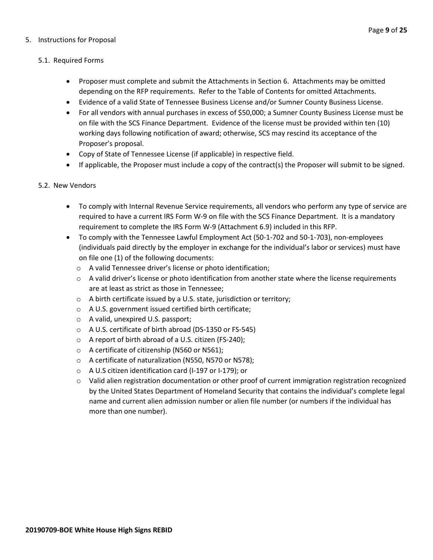#### 5. Instructions for Proposal

#### 5.1. Required Forms

- Proposer must complete and submit the Attachments in Section 6. Attachments may be omitted depending on the RFP requirements. Refer to the Table of Contents for omitted Attachments.
- Evidence of a valid State of Tennessee Business License and/or Sumner County Business License.
- For all vendors with annual purchases in excess of \$50,000; a Sumner County Business License must be on file with the SCS Finance Department. Evidence of the license must be provided within ten (10) working days following notification of award; otherwise, SCS may rescind its acceptance of the Proposer's proposal.
- Copy of State of Tennessee License (if applicable) in respective field.
- If applicable, the Proposer must include a copy of the contract(s) the Proposer will submit to be signed.

#### 5.2. New Vendors

- To comply with Internal Revenue Service requirements, all vendors who perform any type of service are required to have a current IRS Form W-9 on file with the SCS Finance Department. It is a mandatory requirement to complete the IRS Form W-9 (Attachment 6.9) included in this RFP.
- To comply with the Tennessee Lawful Employment Act (50-1-702 and 50-1-703), non-employees (individuals paid directly by the employer in exchange for the individual's labor or services) must have on file one (1) of the following documents:
	- o A valid Tennessee driver's license or photo identification;
	- $\circ$  A valid driver's license or photo identification from another state where the license requirements are at least as strict as those in Tennessee;
	- o A birth certificate issued by a U.S. state, jurisdiction or territory;
	- o A U.S. government issued certified birth certificate;
	- o A valid, unexpired U.S. passport;
	- o A U.S. certificate of birth abroad (DS-1350 or FS-545)
	- o A report of birth abroad of a U.S. citizen (FS-240);
	- o A certificate of citizenship (N560 or N561);
	- o A certificate of naturalization (N550, N570 or N578);
	- o A U.S citizen identification card (I-197 or I-179); or
	- o Valid alien registration documentation or other proof of current immigration registration recognized by the United States Department of Homeland Security that contains the individual's complete legal name and current alien admission number or alien file number (or numbers if the individual has more than one number).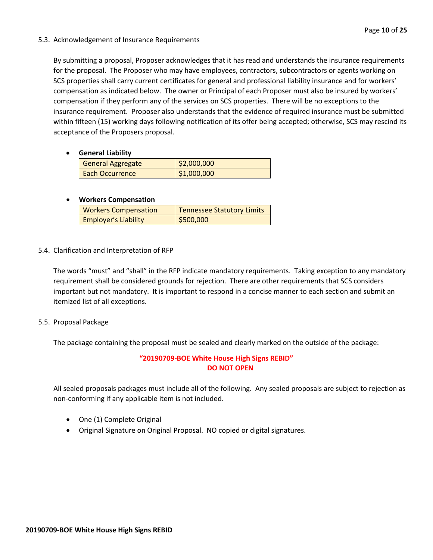#### 5.3. Acknowledgement of Insurance Requirements

By submitting a proposal, Proposer acknowledges that it has read and understands the insurance requirements for the proposal. The Proposer who may have employees, contractors, subcontractors or agents working on SCS properties shall carry current certificates for general and professional liability insurance and for workers' compensation as indicated below. The owner or Principal of each Proposer must also be insured by workers' compensation if they perform any of the services on SCS properties. There will be no exceptions to the insurance requirement. Proposer also understands that the evidence of required insurance must be submitted within fifteen (15) working days following notification of its offer being accepted; otherwise, SCS may rescind its acceptance of the Proposers proposal.

• **General Liability**

| <b>General Aggregate</b> | \$2,000,000 |
|--------------------------|-------------|
| Each Occurrence          | \$1,000,000 |

#### • **Workers Compensation**

| <b>Workers Compensation</b> | <b>Tennessee Statutory Limits</b> |
|-----------------------------|-----------------------------------|
| <b>Employer's Liability</b> | 5500,000                          |

5.4. Clarification and Interpretation of RFP

The words "must" and "shall" in the RFP indicate mandatory requirements. Taking exception to any mandatory requirement shall be considered grounds for rejection. There are other requirements that SCS considers important but not mandatory. It is important to respond in a concise manner to each section and submit an itemized list of all exceptions.

5.5. Proposal Package

The package containing the proposal must be sealed and clearly marked on the outside of the package:

#### **"20190709-BOE White House High Signs REBID" DO NOT OPEN**

All sealed proposals packages must include all of the following. Any sealed proposals are subject to rejection as non-conforming if any applicable item is not included.

- One (1) Complete Original
- Original Signature on Original Proposal. NO copied or digital signatures.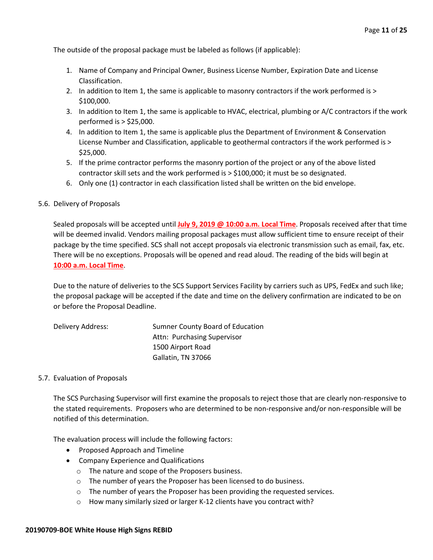The outside of the proposal package must be labeled as follows (if applicable):

- 1. Name of Company and Principal Owner, Business License Number, Expiration Date and License Classification.
- 2. In addition to Item 1, the same is applicable to masonry contractors if the work performed is > \$100,000.
- 3. In addition to Item 1, the same is applicable to HVAC, electrical, plumbing or A/C contractors if the work performed is > \$25,000.
- 4. In addition to Item 1, the same is applicable plus the Department of Environment & Conservation License Number and Classification, applicable to geothermal contractors if the work performed is > \$25,000.
- 5. If the prime contractor performs the masonry portion of the project or any of the above listed contractor skill sets and the work performed is > \$100,000; it must be so designated.
- 6. Only one (1) contractor in each classification listed shall be written on the bid envelope.

#### 5.6. Delivery of Proposals

Sealed proposals will be accepted until **July 9, 2019 @ 10:00 a.m. Local Time**. Proposals received after that time will be deemed invalid. Vendors mailing proposal packages must allow sufficient time to ensure receipt of their package by the time specified. SCS shall not accept proposals via electronic transmission such as email, fax, etc. There will be no exceptions. Proposals will be opened and read aloud. The reading of the bids will begin at **10:00 a.m. Local Time**.

Due to the nature of deliveries to the SCS Support Services Facility by carriers such as UPS, FedEx and such like; the proposal package will be accepted if the date and time on the delivery confirmation are indicated to be on or before the Proposal Deadline.

| Delivery Address: | Sumner County Board of Education |
|-------------------|----------------------------------|
|                   | Attn: Purchasing Supervisor      |
|                   | 1500 Airport Road                |
|                   | Gallatin, TN 37066               |

#### 5.7. Evaluation of Proposals

The SCS Purchasing Supervisor will first examine the proposals to reject those that are clearly non-responsive to the stated requirements. Proposers who are determined to be non-responsive and/or non-responsible will be notified of this determination.

The evaluation process will include the following factors:

- Proposed Approach and Timeline
- Company Experience and Qualifications
	- o The nature and scope of the Proposers business.
	- o The number of years the Proposer has been licensed to do business.
	- o The number of years the Proposer has been providing the requested services.
	- o How many similarly sized or larger K-12 clients have you contract with?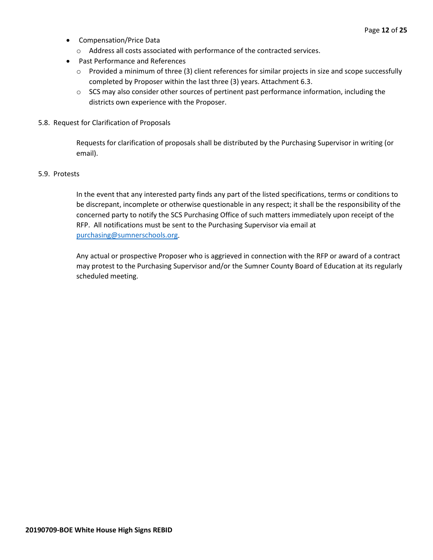- Compensation/Price Data
	- o Address all costs associated with performance of the contracted services.
- Past Performance and References
	- o Provided a minimum of three (3) client references for similar projects in size and scope successfully completed by Proposer within the last three (3) years. Attachment 6.3.
	- $\circ$  SCS may also consider other sources of pertinent past performance information, including the districts own experience with the Proposer.
- 5.8. Request for Clarification of Proposals

Requests for clarification of proposals shall be distributed by the Purchasing Supervisor in writing (or email).

#### 5.9. Protests

In the event that any interested party finds any part of the listed specifications, terms or conditions to be discrepant, incomplete or otherwise questionable in any respect; it shall be the responsibility of the concerned party to notify the SCS Purchasing Office of such matters immediately upon receipt of the RFP. All notifications must be sent to the Purchasing Supervisor via email at [purchasing@sumnerschools.org.](mailto:purchasing@sumnerschools.org)

Any actual or prospective Proposer who is aggrieved in connection with the RFP or award of a contract may protest to the Purchasing Supervisor and/or the Sumner County Board of Education at its regularly scheduled meeting.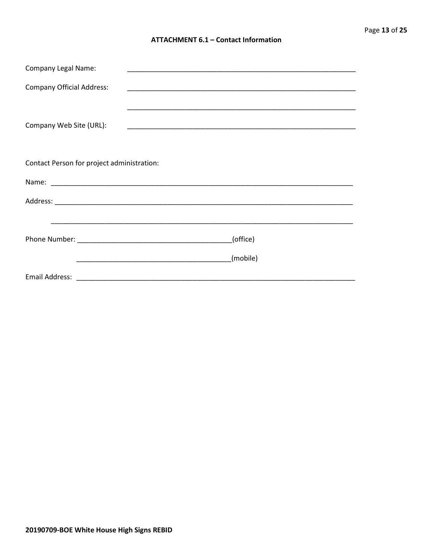#### **ATTACHMENT 6.1 - Contact Information**

| <b>Company Legal Name:</b>                 | <u> 1989 - Johann John Stone, markin film yn y systematist yn y brening yn y brening yn y brening yn y brening y</u>  |  |
|--------------------------------------------|-----------------------------------------------------------------------------------------------------------------------|--|
| <b>Company Official Address:</b>           | <u> 1989 - Johann John Stone, markin film yn y sydd y ganleithiau ym y gynnwys y gynnwys y gynnwys y gynnwys y gy</u> |  |
| Company Web Site (URL):                    | <u> 1989 - Johann John Stone, markin sammen beskriuwer oan de ferskearre fan de ferskearre fan de ferskearre fan </u> |  |
| Contact Person for project administration: |                                                                                                                       |  |
|                                            |                                                                                                                       |  |
|                                            |                                                                                                                       |  |
|                                            |                                                                                                                       |  |
|                                            | (office)                                                                                                              |  |
|                                            | (mobile)                                                                                                              |  |
|                                            | Email Address: 2008 2009 2009 2009 2009 2010 2021 2022 2023 2024 2024 2022 2023 2024 2022 2023 2024 2022 2023         |  |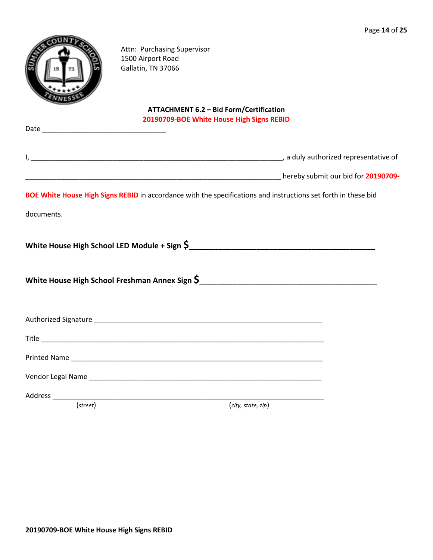

Attn: Purchasing Supervisor 1500 Airport Road Gallatin, TN 37066

#### **ATTACHMENT 6.2 – Bid Form/Certification 20190709-BOE White House High Signs REBID**

|            | BOE White House High Signs REBID in accordance with the specifications and instructions set forth in these bid |
|------------|----------------------------------------------------------------------------------------------------------------|
| documents. |                                                                                                                |
|            |                                                                                                                |
|            |                                                                                                                |
|            |                                                                                                                |
|            |                                                                                                                |
|            |                                                                                                                |
|            |                                                                                                                |
| (street)   | (city, state, zip)                                                                                             |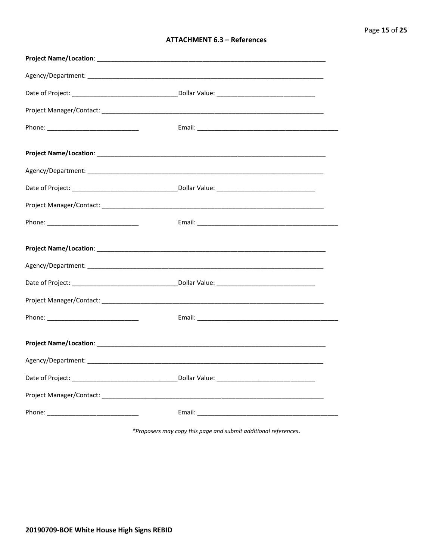#### **ATTACHMENT 6.3 - References**

\*Proposers may copy this page and submit additional references.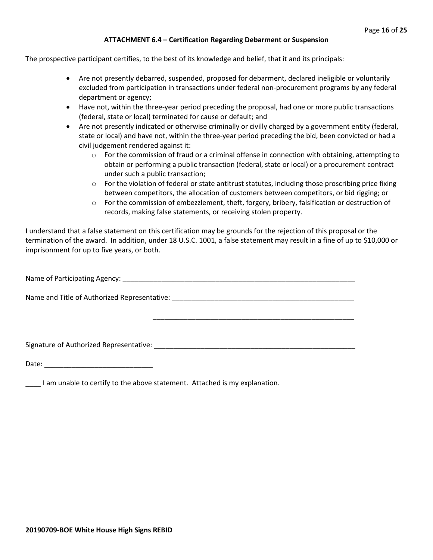#### **ATTACHMENT 6.4 – Certification Regarding Debarment or Suspension**

The prospective participant certifies, to the best of its knowledge and belief, that it and its principals:

- Are not presently debarred, suspended, proposed for debarment, declared ineligible or voluntarily excluded from participation in transactions under federal non-procurement programs by any federal department or agency;
- Have not, within the three-year period preceding the proposal, had one or more public transactions (federal, state or local) terminated for cause or default; and
- Are not presently indicated or otherwise criminally or civilly charged by a government entity (federal, state or local) and have not, within the three-year period preceding the bid, been convicted or had a civil judgement rendered against it:
	- $\circ$  For the commission of fraud or a criminal offense in connection with obtaining, attempting to obtain or performing a public transaction (federal, state or local) or a procurement contract under such a public transaction;
	- $\circ$  For the violation of federal or state antitrust statutes, including those proscribing price fixing between competitors, the allocation of customers between competitors, or bid rigging; or
	- $\circ$  For the commission of embezzlement, theft, forgery, bribery, falsification or destruction of records, making false statements, or receiving stolen property.

\_\_\_\_\_\_\_\_\_\_\_\_\_\_\_\_\_\_\_\_\_\_\_\_\_\_\_\_\_\_\_\_\_\_\_\_\_\_\_\_\_\_\_\_\_\_\_\_\_\_\_\_

I understand that a false statement on this certification may be grounds for the rejection of this proposal or the termination of the award. In addition, under 18 U.S.C. 1001, a false statement may result in a fine of up to \$10,000 or imprisonment for up to five years, or both.

Name of Participating Agency: \_\_\_\_\_\_\_\_\_\_\_\_\_\_\_\_\_\_\_\_\_\_\_\_\_\_\_\_\_\_\_\_\_\_\_\_\_\_\_\_\_\_\_\_\_\_\_\_\_\_\_\_\_\_\_\_\_\_\_\_

Name and Title of Authorized Representative: \_\_\_\_\_\_\_\_\_\_\_\_\_\_\_\_\_\_\_\_\_\_\_\_\_\_\_\_\_\_\_\_\_\_\_

Signature of Authorized Representative: \_\_\_\_\_\_\_\_\_\_\_\_\_\_\_\_\_\_\_\_\_\_\_\_\_\_\_\_\_\_\_\_\_\_\_\_\_\_\_\_\_\_\_\_\_\_\_\_\_\_\_\_

Date: \_\_\_\_\_\_\_\_\_\_\_\_\_\_\_\_\_\_\_\_\_\_\_\_\_\_\_\_

\_\_\_\_ I am unable to certify to the above statement. Attached is my explanation.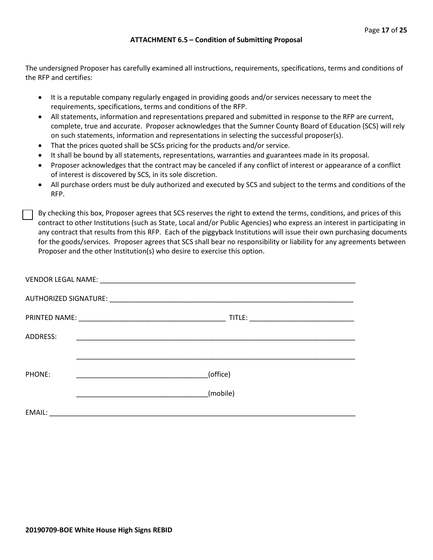#### **ATTACHMENT 6.5 – Condition of Submitting Proposal**

The undersigned Proposer has carefully examined all instructions, requirements, specifications, terms and conditions of the RFP and certifies:

- It is a reputable company regularly engaged in providing goods and/or services necessary to meet the requirements, specifications, terms and conditions of the RFP.
- All statements, information and representations prepared and submitted in response to the RFP are current, complete, true and accurate. Proposer acknowledges that the Sumner County Board of Education (SCS) will rely on such statements, information and representations in selecting the successful proposer(s).
- That the prices quoted shall be SCSs pricing for the products and/or service.
- It shall be bound by all statements, representations, warranties and guarantees made in its proposal.
- Proposer acknowledges that the contract may be canceled if any conflict of interest or appearance of a conflict of interest is discovered by SCS, in its sole discretion.
- All purchase orders must be duly authorized and executed by SCS and subject to the terms and conditions of the RFP.

By checking this box, Proposer agrees that SCS reserves the right to extend the terms, conditions, and prices of this contract to other Institutions (such as State, Local and/or Public Agencies) who express an interest in participating in any contract that results from this RFP. Each of the piggyback Institutions will issue their own purchasing documents for the goods/services. Proposer agrees that SCS shall bear no responsibility or liability for any agreements between Proposer and the other Institution(s) who desire to exercise this option.

| ADDRESS: |          |
|----------|----------|
|          |          |
| PHONE:   | (office) |
|          | (mobile) |
| EMAIL:   |          |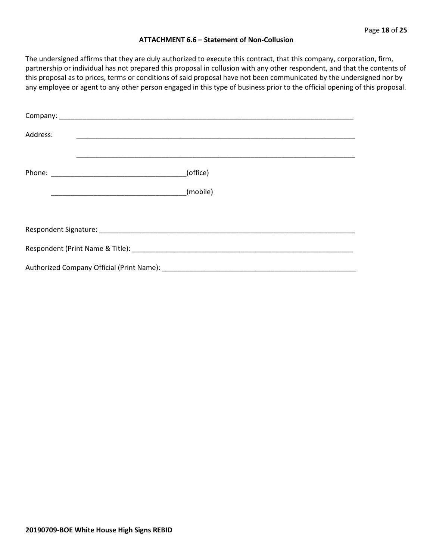#### **ATTACHMENT 6.6 – Statement of Non-Collusion**

The undersigned affirms that they are duly authorized to execute this contract, that this company, corporation, firm, partnership or individual has not prepared this proposal in collusion with any other respondent, and that the contents of this proposal as to prices, terms or conditions of said proposal have not been communicated by the undersigned nor by any employee or agent to any other person engaged in this type of business prior to the official opening of this proposal.

| Address: |          |  |  |  |
|----------|----------|--|--|--|
|          | (office) |  |  |  |
|          | (mobile) |  |  |  |
|          |          |  |  |  |
|          |          |  |  |  |
|          |          |  |  |  |
|          |          |  |  |  |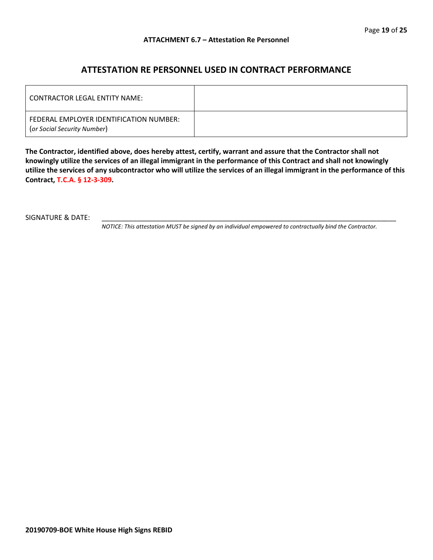#### **ATTESTATION RE PERSONNEL USED IN CONTRACT PERFORMANCE**

| LCONTRACTOR LEGAL ENTITY NAME:                                         |  |
|------------------------------------------------------------------------|--|
| FEDERAL EMPLOYER IDENTIFICATION NUMBER:<br>(or Social Security Number) |  |

**The Contractor, identified above, does hereby attest, certify, warrant and assure that the Contractor shall not knowingly utilize the services of an illegal immigrant in the performance of this Contract and shall not knowingly utilize the services of any subcontractor who will utilize the services of an illegal immigrant in the performance of this Contract, T.C.A. § 12-3-309.**

SIGNATURE & DATE:

*NOTICE: This attestation MUST be signed by an individual empowered to contractually bind the Contractor.*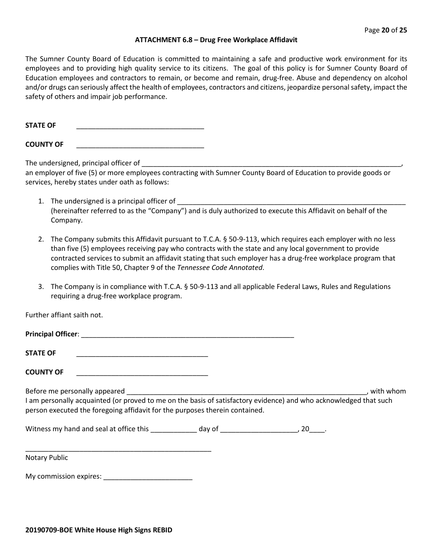#### **ATTACHMENT 6.8 – Drug Free Workplace Affidavit**

The Sumner County Board of Education is committed to maintaining a safe and productive work environment for its employees and to providing high quality service to its citizens. The goal of this policy is for Sumner County Board of Education employees and contractors to remain, or become and remain, drug-free. Abuse and dependency on alcohol and/or drugs can seriously affect the health of employees, contractors and citizens, jeopardize personal safety, impact the safety of others and impair job performance.

**STATE OF** 

**COUNTY OF** \_\_\_\_\_\_\_\_\_\_\_\_\_\_\_\_\_\_\_\_\_\_\_\_\_\_\_\_\_\_\_\_\_

The undersigned, principal officer of

an employer of five (5) or more employees contracting with Sumner County Board of Education to provide goods or services, hereby states under oath as follows:

- 1. The undersigned is a principal officer of \_\_\_\_\_\_\_\_\_\_\_\_\_\_\_\_\_\_\_\_\_\_\_\_\_\_\_\_\_\_\_\_\_\_\_\_\_\_\_\_\_\_\_\_\_\_\_\_\_\_\_\_\_\_\_\_\_\_\_ (hereinafter referred to as the "Company") and is duly authorized to execute this Affidavit on behalf of the Company.
- 2. The Company submits this Affidavit pursuant to T.C.A. § 50-9-113, which requires each employer with no less than five (5) employees receiving pay who contracts with the state and any local government to provide contracted services to submit an affidavit stating that such employer has a drug-free workplace program that complies with Title 50, Chapter 9 of the *Tennessee Code Annotated*.
- 3. The Company is in compliance with T.C.A. § 50-9-113 and all applicable Federal Laws, Rules and Regulations requiring a drug-free workplace program.

Further affiant saith not.

| <b>Principal Officer:</b> |  |  |  |
|---------------------------|--|--|--|
|                           |  |  |  |

**STATE OF** \_\_\_\_\_\_\_\_\_\_\_\_\_\_\_\_\_\_\_\_\_\_\_\_\_\_\_\_\_\_\_\_\_\_

**COUNTY OF** \_\_\_\_\_\_\_\_\_\_\_\_\_\_\_\_\_\_\_\_\_\_\_\_\_\_\_\_\_\_\_\_\_\_

Before me personally appeared example and the set of the set of the set of the set of the set of the set of the set of the set of the set of the set of the set of the set of the set of the set of the set of the set of the

I am personally acquainted (or proved to me on the basis of satisfactory evidence) and who acknowledged that such person executed the foregoing affidavit for the purposes therein contained.

Witness my hand and seal at office this day of day of the state of the state of the state of the state of the state of the state of the state of the state of the state of the state of the state of the state of the state of

Notary Public

My commission expires: \_\_\_\_\_\_\_\_\_\_\_\_\_\_\_\_\_\_\_\_\_\_\_

\_\_\_\_\_\_\_\_\_\_\_\_\_\_\_\_\_\_\_\_\_\_\_\_\_\_\_\_\_\_\_\_\_\_\_\_\_\_\_\_\_\_\_\_\_\_\_\_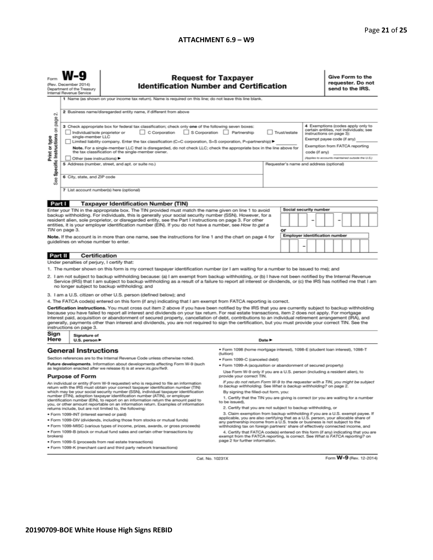#### **ATTACHMENT 6.9 – W9**

# Request for Taxpayer<br>Identification Number and Certification

Form **W-9** 

Give Form to the<br>requester. Do not send to the IRS.

| rom                                                                                                                                                                                                                                                                                                                                                                                                                                                                                                                                                                                                                                                                                                                                                                         | (Rev. December 2014)<br>Department of the Treasury<br>Internal Revenue Service                            | ncquest ivi Taxpayer<br><b>Identification Number and Certification</b>                                                                                                                                                                                                             |                                                                                                          |              |                                                                                              |                                       |  | requester. Do not<br>send to the IRS.                                                                                                                                   |                         |  |  |
|-----------------------------------------------------------------------------------------------------------------------------------------------------------------------------------------------------------------------------------------------------------------------------------------------------------------------------------------------------------------------------------------------------------------------------------------------------------------------------------------------------------------------------------------------------------------------------------------------------------------------------------------------------------------------------------------------------------------------------------------------------------------------------|-----------------------------------------------------------------------------------------------------------|------------------------------------------------------------------------------------------------------------------------------------------------------------------------------------------------------------------------------------------------------------------------------------|----------------------------------------------------------------------------------------------------------|--------------|----------------------------------------------------------------------------------------------|---------------------------------------|--|-------------------------------------------------------------------------------------------------------------------------------------------------------------------------|-------------------------|--|--|
|                                                                                                                                                                                                                                                                                                                                                                                                                                                                                                                                                                                                                                                                                                                                                                             | 1 Name (as shown on your income tax return). Name is required on this line; do not leave this line blank. |                                                                                                                                                                                                                                                                                    |                                                                                                          |              |                                                                                              |                                       |  |                                                                                                                                                                         |                         |  |  |
| οû                                                                                                                                                                                                                                                                                                                                                                                                                                                                                                                                                                                                                                                                                                                                                                          | 2 Business name/disregarded entity name, if different from above                                          |                                                                                                                                                                                                                                                                                    |                                                                                                          |              |                                                                                              |                                       |  |                                                                                                                                                                         |                         |  |  |
| page<br>3 Check appropriate box for federal tax classification; check only one of the following seven boxes:<br>S<br>S Corporation Partnership<br>C Corporation<br>Individual/sole proprietor or<br>Specific Instructions<br>single-member LLC<br>Print or type<br>Limited liability company. Enter the tax classification (C=C corporation, S=S corporation, P=partnership) ▶<br>Note. For a single-member LLC that is disregarded, do not check LLC; check the appropriate box in the line above for                                                                                                                                                                                                                                                                      |                                                                                                           |                                                                                                                                                                                                                                                                                    |                                                                                                          | Trust/estate |                                                                                              |                                       |  | 4 Exemptions (codes apply only to<br>certain entities, not individuals; see<br>instructions on page 3):<br>Exempt payee code (if any)<br>Exemption from FATCA reporting |                         |  |  |
| the tax classification of the single-member owner.                                                                                                                                                                                                                                                                                                                                                                                                                                                                                                                                                                                                                                                                                                                          |                                                                                                           |                                                                                                                                                                                                                                                                                    |                                                                                                          |              |                                                                                              | code (if any)                         |  |                                                                                                                                                                         |                         |  |  |
|                                                                                                                                                                                                                                                                                                                                                                                                                                                                                                                                                                                                                                                                                                                                                                             | Other (see instructions)<br>5 Address (number, street, and apt. or suite no.)                             |                                                                                                                                                                                                                                                                                    |                                                                                                          |              | (Applies to accounts maintained outside the U.S.)<br>Requester's name and address (optional) |                                       |  |                                                                                                                                                                         |                         |  |  |
| See                                                                                                                                                                                                                                                                                                                                                                                                                                                                                                                                                                                                                                                                                                                                                                         | 6 City, state, and ZIP code                                                                               |                                                                                                                                                                                                                                                                                    |                                                                                                          |              |                                                                                              |                                       |  |                                                                                                                                                                         |                         |  |  |
|                                                                                                                                                                                                                                                                                                                                                                                                                                                                                                                                                                                                                                                                                                                                                                             | 7 List account number(s) here (optional)                                                                  |                                                                                                                                                                                                                                                                                    |                                                                                                          |              |                                                                                              |                                       |  |                                                                                                                                                                         |                         |  |  |
|                                                                                                                                                                                                                                                                                                                                                                                                                                                                                                                                                                                                                                                                                                                                                                             | Part I                                                                                                    | <b>Taxpayer Identification Number (TIN)</b>                                                                                                                                                                                                                                        |                                                                                                          |              |                                                                                              |                                       |  |                                                                                                                                                                         |                         |  |  |
| Enter your TIN in the appropriate box. The TIN provided must match the name given on line 1 to avoid<br>backup withholding. For individuals, this is generally your social security number (SSN). However, for a<br>resident alien, sole proprietor, or disregarded entity, see the Part I instructions on page 3. For other                                                                                                                                                                                                                                                                                                                                                                                                                                                |                                                                                                           |                                                                                                                                                                                                                                                                                    |                                                                                                          |              | Social security number                                                                       |                                       |  |                                                                                                                                                                         |                         |  |  |
|                                                                                                                                                                                                                                                                                                                                                                                                                                                                                                                                                                                                                                                                                                                                                                             | TIN on page 3.                                                                                            | entities, it is your employer identification number (EIN). If you do not have a number, see How to get a                                                                                                                                                                           |                                                                                                          | or           |                                                                                              |                                       |  |                                                                                                                                                                         |                         |  |  |
|                                                                                                                                                                                                                                                                                                                                                                                                                                                                                                                                                                                                                                                                                                                                                                             |                                                                                                           | Note. If the account is in more than one name, see the instructions for line 1 and the chart on page 4 for                                                                                                                                                                         |                                                                                                          |              |                                                                                              | <b>Employer identification number</b> |  |                                                                                                                                                                         |                         |  |  |
|                                                                                                                                                                                                                                                                                                                                                                                                                                                                                                                                                                                                                                                                                                                                                                             | quidelines on whose number to enter.                                                                      |                                                                                                                                                                                                                                                                                    |                                                                                                          |              |                                                                                              | -                                     |  |                                                                                                                                                                         |                         |  |  |
| Part II                                                                                                                                                                                                                                                                                                                                                                                                                                                                                                                                                                                                                                                                                                                                                                     |                                                                                                           | Certification                                                                                                                                                                                                                                                                      |                                                                                                          |              |                                                                                              |                                       |  |                                                                                                                                                                         |                         |  |  |
|                                                                                                                                                                                                                                                                                                                                                                                                                                                                                                                                                                                                                                                                                                                                                                             | Under penalties of perjury, I certify that:                                                               |                                                                                                                                                                                                                                                                                    |                                                                                                          |              |                                                                                              |                                       |  |                                                                                                                                                                         |                         |  |  |
|                                                                                                                                                                                                                                                                                                                                                                                                                                                                                                                                                                                                                                                                                                                                                                             |                                                                                                           | 1. The number shown on this form is my correct taxpayer identification number (or I am waiting for a number to be issued to me); and                                                                                                                                               |                                                                                                          |              |                                                                                              |                                       |  |                                                                                                                                                                         |                         |  |  |
| 2. I am not subject to backup withholding because: (a) I am exempt from backup withholding, or (b) I have not been notified by the Internal Revenue<br>Service (IRS) that I am subject to backup withholding as a result of a failure to report all interest or dividends, or (c) the IRS has notified me that I am<br>no longer subject to backup withholding; and                                                                                                                                                                                                                                                                                                                                                                                                         |                                                                                                           |                                                                                                                                                                                                                                                                                    |                                                                                                          |              |                                                                                              |                                       |  |                                                                                                                                                                         |                         |  |  |
|                                                                                                                                                                                                                                                                                                                                                                                                                                                                                                                                                                                                                                                                                                                                                                             |                                                                                                           | 3. I am a U.S. citizen or other U.S. person (defined below); and                                                                                                                                                                                                                   |                                                                                                          |              |                                                                                              |                                       |  |                                                                                                                                                                         |                         |  |  |
| 4. The FATCA code(s) entered on this form (if any) indicating that I am exempt from FATCA reporting is correct.<br>Certification instructions. You must cross out item 2 above if you have been notified by the IRS that you are currently subject to backup withholding<br>because you have failed to report all interest and dividends on your tax return. For real estate transactions, item 2 does not apply. For mortgage<br>interest paid, acquisition or abandonment of secured property, cancellation of debt, contributions to an individual retirement arrangement (IRA), and<br>generally, payments other than interest and dividends, you are not required to sign the certification, but you must provide your correct TIN. See the<br>instructions on page 3. |                                                                                                           |                                                                                                                                                                                                                                                                                    |                                                                                                          |              |                                                                                              |                                       |  |                                                                                                                                                                         |                         |  |  |
|                                                                                                                                                                                                                                                                                                                                                                                                                                                                                                                                                                                                                                                                                                                                                                             | Sign<br>Signature of<br>Here<br>Date $\blacktriangleright$<br>U.S. person $\blacktriangleright$           |                                                                                                                                                                                                                                                                                    |                                                                                                          |              |                                                                                              |                                       |  |                                                                                                                                                                         |                         |  |  |
|                                                                                                                                                                                                                                                                                                                                                                                                                                                                                                                                                                                                                                                                                                                                                                             | <b>General Instructions</b>                                                                               |                                                                                                                                                                                                                                                                                    | · Form 1098 (home mortgage interest), 1098-E (student loan interest), 1098-T                             |              |                                                                                              |                                       |  |                                                                                                                                                                         |                         |  |  |
|                                                                                                                                                                                                                                                                                                                                                                                                                                                                                                                                                                                                                                                                                                                                                                             |                                                                                                           | Section references are to the Internal Revenue Code unless otherwise noted.                                                                                                                                                                                                        | (tuition)<br>· Form 1099-C (canceled debt)                                                               |              |                                                                                              |                                       |  |                                                                                                                                                                         |                         |  |  |
|                                                                                                                                                                                                                                                                                                                                                                                                                                                                                                                                                                                                                                                                                                                                                                             |                                                                                                           | Future developments. Information about developments affecting Form W-9 (such                                                                                                                                                                                                       | · Form 1099-A (acquisition or abandonment of secured property)                                           |              |                                                                                              |                                       |  |                                                                                                                                                                         |                         |  |  |
| as legislation enacted after we release it) is at www.irs.gov/fw9.                                                                                                                                                                                                                                                                                                                                                                                                                                                                                                                                                                                                                                                                                                          |                                                                                                           |                                                                                                                                                                                                                                                                                    | Use Form W-9 only if you are a U.S. person (including a resident alien), to<br>provide your correct TIN. |              |                                                                                              |                                       |  |                                                                                                                                                                         |                         |  |  |
| <b>Purpose of Form</b><br>An individual or entity (Form W-9 requester) who is required to file an information<br>return with the IRS must obtain your correct taxpayer identification number (TIN)<br>which may be your social security number (SSN), individual taxpayer identification<br>number (ITIN), adoption taxpayer identification number (ATIN), or employer                                                                                                                                                                                                                                                                                                                                                                                                      |                                                                                                           | If you do not return Form W-9 to the requester with a TIN, you might be subject<br>to backup withholding. See What is backup withholding? on page 2.<br>By signing the filled-out form, you:<br>1. Certify that the TIN you are giving is correct (or you are waiting for a number |                                                                                                          |              |                                                                                              |                                       |  |                                                                                                                                                                         |                         |  |  |
| identification number (EIN), to report on an information return the amount paid to<br>you, or other amount reportable on an information return. Examples of information<br>returns include, but are not limited to, the following:                                                                                                                                                                                                                                                                                                                                                                                                                                                                                                                                          |                                                                                                           | to be issued).<br>2. Certify that you are not subject to backup withholding, or                                                                                                                                                                                                    |                                                                                                          |              |                                                                                              |                                       |  |                                                                                                                                                                         |                         |  |  |
| · Form 1099-INT (interest earned or paid)                                                                                                                                                                                                                                                                                                                                                                                                                                                                                                                                                                                                                                                                                                                                   |                                                                                                           | 3. Claim exemption from backup withholding if you are a U.S. exempt payee. If<br>applicable, you are also certifying that as a U.S. person, your allocable share of                                                                                                                |                                                                                                          |              |                                                                                              |                                       |  |                                                                                                                                                                         |                         |  |  |
| . Form 1099-DIV (dividends, including those from stocks or mutual funds)                                                                                                                                                                                                                                                                                                                                                                                                                                                                                                                                                                                                                                                                                                    |                                                                                                           | any partnership income from a U.S. trade or business is not subject to the                                                                                                                                                                                                         |                                                                                                          |              |                                                                                              |                                       |  |                                                                                                                                                                         |                         |  |  |
| * Form 1099-MISC (various types of income, prizes, awards, or gross proceeds)<br>. Form 1099-B (stock or mutual fund sales and certain other transactions by<br>brokers)                                                                                                                                                                                                                                                                                                                                                                                                                                                                                                                                                                                                    |                                                                                                           | withholding tax on foreign partners' share of effectively connected income, and<br>4. Certify that FATCA code(s) entered on this form (if any) indicating that you are                                                                                                             |                                                                                                          |              |                                                                                              |                                       |  |                                                                                                                                                                         |                         |  |  |
| exempt from the FATCA reporting, is correct. See What is FATCA reporting? on<br>page 2 for further information.<br>. Form 1099-S (proceeds from real estate transactions)                                                                                                                                                                                                                                                                                                                                                                                                                                                                                                                                                                                                   |                                                                                                           |                                                                                                                                                                                                                                                                                    |                                                                                                          |              |                                                                                              |                                       |  |                                                                                                                                                                         |                         |  |  |
|                                                                                                                                                                                                                                                                                                                                                                                                                                                                                                                                                                                                                                                                                                                                                                             |                                                                                                           | . Form 1099-K (merchant card and third party network transactions)                                                                                                                                                                                                                 |                                                                                                          |              |                                                                                              |                                       |  |                                                                                                                                                                         |                         |  |  |
|                                                                                                                                                                                                                                                                                                                                                                                                                                                                                                                                                                                                                                                                                                                                                                             |                                                                                                           | Cat. No. 10231X                                                                                                                                                                                                                                                                    |                                                                                                          |              |                                                                                              |                                       |  |                                                                                                                                                                         | Form W-9 (Rev. 12-2014) |  |  |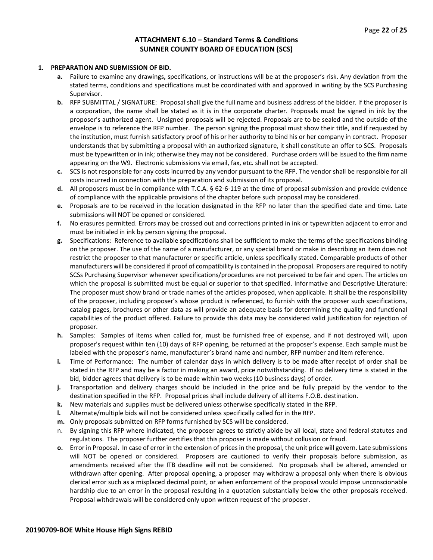#### **ATTACHMENT 6.10 – Standard Terms & Conditions SUMNER COUNTY BOARD OF EDUCATION (SCS)**

#### **1. PREPARATION AND SUBMISSION OF BID.**

- **a.** Failure to examine any drawings**,** specifications, or instructions will be at the proposer's risk. Any deviation from the stated terms, conditions and specifications must be coordinated with and approved in writing by the SCS Purchasing Supervisor.
- **b.** RFP SUBMITTAL / SIGNATURE: Proposal shall give the full name and business address of the bidder. If the proposer is a corporation, the name shall be stated as it is in the corporate charter. Proposals must be signed in ink by the proposer's authorized agent. Unsigned proposals will be rejected. Proposals are to be sealed and the outside of the envelope is to reference the RFP number. The person signing the proposal must show their title, and if requested by the institution, must furnish satisfactory proof of his or her authority to bind his or her company in contract. Proposer understands that by submitting a proposal with an authorized signature, it shall constitute an offer to SCS. Proposals must be typewritten or in ink; otherwise they may not be considered. Purchase orders will be issued to the firm name appearing on the W9. Electronic submissions via email, fax, etc. shall not be accepted.
- **c.** SCS is not responsible for any costs incurred by any vendor pursuant to the RFP. The vendor shall be responsible for all costs incurred in connection with the preparation and submission of its proposal.
- **d.** All proposers must be in compliance with T.C.A. § 62-6-119 at the time of proposal submission and provide evidence of compliance with the applicable provisions of the chapter before such proposal may be considered.
- **e.** Proposals are to be received in the location designated in the RFP no later than the specified date and time. Late submissions will NOT be opened or considered.
- **f.** No erasures permitted. Errors may be crossed out and corrections printed in ink or typewritten adjacent to error and must be initialed in ink by person signing the proposal.
- **g.** Specifications: Reference to available specifications shall be sufficient to make the terms of the specifications binding on the proposer. The use of the name of a manufacturer, or any special brand or make in describing an item does not restrict the proposer to that manufacturer or specific article, unless specifically stated. Comparable products of other manufacturers will be considered if proof of compatibility is contained in the proposal. Proposers are required to notify SCSs Purchasing Supervisor whenever specifications/procedures are not perceived to be fair and open. The articles on which the proposal is submitted must be equal or superior to that specified. Informative and Descriptive Literature: The proposer must show brand or trade names of the articles proposed, when applicable. It shall be the responsibility of the proposer, including proposer's whose product is referenced, to furnish with the proposer such specifications, catalog pages, brochures or other data as will provide an adequate basis for determining the quality and functional capabilities of the product offered. Failure to provide this data may be considered valid justification for rejection of proposer.
- **h.** Samples: Samples of items when called for, must be furnished free of expense, and if not destroyed will, upon proposer's request within ten (10) days of RFP opening, be returned at the proposer's expense. Each sample must be labeled with the proposer's name, manufacturer's brand name and number, RFP number and item reference.
- **i.** Time of Performance: The number of calendar days in which delivery is to be made after receipt of order shall be stated in the RFP and may be a factor in making an award, price notwithstanding. If no delivery time is stated in the bid, bidder agrees that delivery is to be made within two weeks (10 business days) of order.
- **j.** Transportation and delivery charges should be included in the price and be fully prepaid by the vendor to the destination specified in the RFP. Proposal prices shall include delivery of all items F.O.B. destination.
- **k.** New materials and supplies must be delivered unless otherwise specifically stated in the RFP.
- **l.** Alternate/multiple bids will not be considered unless specifically called for in the RFP.
- **m.** Only proposals submitted on RFP forms furnished by SCS will be considered.
- n. By signing this RFP where indicated, the proposer agrees to strictly abide by all local, state and federal statutes and regulations. The proposer further certifies that this proposer is made without collusion or fraud.
- **o.** Error in Proposal. In case of error in the extension of prices in the proposal, the unit price will govern. Late submissions will NOT be opened or considered. Proposers are cautioned to verify their proposals before submission, as amendments received after the ITB deadline will not be considered. No proposals shall be altered, amended or withdrawn after opening. After proposal opening, a proposer may withdraw a proposal only when there is obvious clerical error such as a misplaced decimal point, or when enforcement of the proposal would impose unconscionable hardship due to an error in the proposal resulting in a quotation substantially below the other proposals received. Proposal withdrawals will be considered only upon written request of the proposer.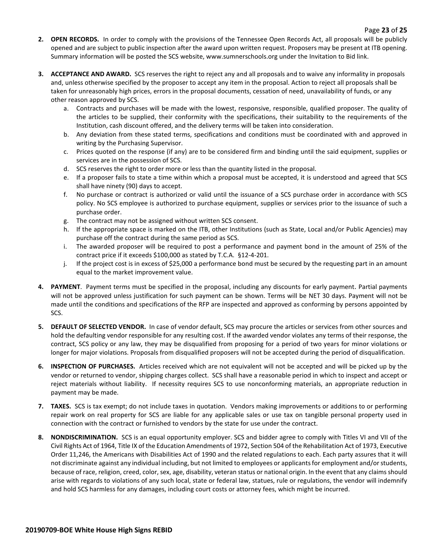- **2. OPEN RECORDS.** In order to comply with the provisions of the Tennessee Open Records Act, all proposals will be publicly opened and are subject to public inspection after the award upon written request. Proposers may be present at ITB opening. Summary information will be posted the SCS website, www.sumnerschools.org under the Invitation to Bid link.
- **3. ACCEPTANCE AND AWARD.** SCS reserves the right to reject any and all proposals and to waive any informality in proposals and, unless otherwise specified by the proposer to accept any item in the proposal. Action to reject all proposals shall be taken for unreasonably high prices, errors in the proposal documents, cessation of need, unavailability of funds, or any other reason approved by SCS.
	- a. Contracts and purchases will be made with the lowest, responsive, responsible, qualified proposer. The quality of the articles to be supplied, their conformity with the specifications, their suitability to the requirements of the Institution, cash discount offered, and the delivery terms will be taken into consideration.
	- b. Any deviation from these stated terms, specifications and conditions must be coordinated with and approved in writing by the Purchasing Supervisor.
	- c. Prices quoted on the response (if any) are to be considered firm and binding until the said equipment, supplies or services are in the possession of SCS.
	- d. SCS reserves the right to order more or less than the quantity listed in the proposal.
	- e. If a proposer fails to state a time within which a proposal must be accepted, it is understood and agreed that SCS shall have ninety (90) days to accept.
	- f. No purchase or contract is authorized or valid until the issuance of a SCS purchase order in accordance with SCS policy. No SCS employee is authorized to purchase equipment, supplies or services prior to the issuance of such a purchase order.
	- g. The contract may not be assigned without written SCS consent.
	- h. If the appropriate space is marked on the ITB, other Institutions (such as State, Local and/or Public Agencies) may purchase off the contract during the same period as SCS.
	- i. The awarded proposer will be required to post a performance and payment bond in the amount of 25% of the contract price if it exceeds \$100,000 as stated by T.C.A. §12-4-201.
	- j. If the project cost is in excess of \$25,000 a performance bond must be secured by the requesting part in an amount equal to the market improvement value.
- **4. PAYMENT**. Payment terms must be specified in the proposal, including any discounts for early payment. Partial payments will not be approved unless justification for such payment can be shown. Terms will be NET 30 days. Payment will not be made until the conditions and specifications of the RFP are inspected and approved as conforming by persons appointed by SCS.
- **5. DEFAULT OF SELECTED VENDOR.** In case of vendor default, SCS may procure the articles or services from other sources and hold the defaulting vendor responsible for any resulting cost. If the awarded vendor violates any terms of their response, the contract, SCS policy or any law, they may be disqualified from proposing for a period of two years for minor violations or longer for major violations. Proposals from disqualified proposers will not be accepted during the period of disqualification.
- **6. INSPECTION OF PURCHASES.** Articles received which are not equivalent will not be accepted and will be picked up by the vendor or returned to vendor, shipping charges collect. SCS shall have a reasonable period in which to inspect and accept or reject materials without liability. If necessity requires SCS to use nonconforming materials, an appropriate reduction in payment may be made.
- **7. TAXES.** SCS is tax exempt; do not include taxes in quotation. Vendors making improvements or additions to or performing repair work on real property for SCS are liable for any applicable sales or use tax on tangible personal property used in connection with the contract or furnished to vendors by the state for use under the contract.
- **8. NONDISCRIMINATION.** SCS is an equal opportunity employer. SCS and bidder agree to comply with Titles VI and VII of the Civil Rights Act of 1964, Title IX of the Education Amendments of 1972, Section 504 of the Rehabilitation Act of 1973, Executive Order 11,246, the Americans with Disabilities Act of 1990 and the related regulations to each. Each party assures that it will not discriminate against any individual including, but not limited to employees or applicants for employment and/or students, because of race, religion, creed, color, sex, age, disability, veteran status or national origin. In the event that any claims should arise with regards to violations of any such local, state or federal law, statues, rule or regulations, the vendor will indemnify and hold SCS harmless for any damages, including court costs or attorney fees, which might be incurred.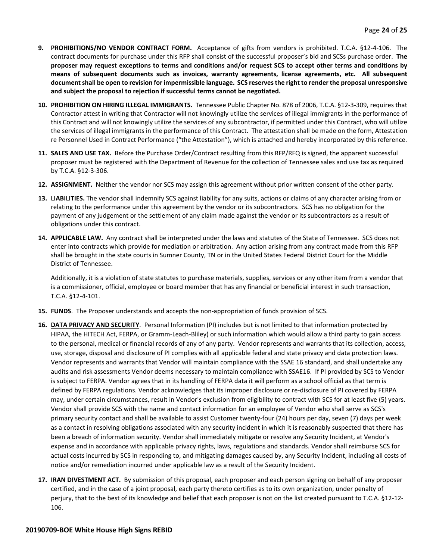- **9. PROHIBITIONS/NO VENDOR CONTRACT FORM.** Acceptance of gifts from vendors is prohibited. T.C.A. §12-4-106. The contract documents for purchase under this RFP shall consist of the successful proposer's bid and SCSs purchase order. **The proposer may request exceptions to terms and conditions and/or request SCS to accept other terms and conditions by means of subsequent documents such as invoices, warranty agreements, license agreements, etc. All subsequent document shall be open to revision for impermissible language. SCS reserves the right to render the proposal unresponsive and subject the proposal to rejection if successful terms cannot be negotiated.**
- **10. PROHIBITION ON HIRING ILLEGAL IMMIGRANTS.** Tennessee Public Chapter No. 878 of 2006, T.C.A. §12-3-309, requires that Contractor attest in writing that Contractor will not knowingly utilize the services of illegal immigrants in the performance of this Contract and will not knowingly utilize the services of any subcontractor, if permitted under this Contract, who will utilize the services of illegal immigrants in the performance of this Contract. The attestation shall be made on the form, Attestation re Personnel Used in Contract Performance ("the Attestation"), which is attached and hereby incorporated by this reference.
- **11. SALES AND USE TAX.** Before the Purchase Order/Contract resulting from this RFP/RFQ is signed, the apparent successful proposer must be registered with the Department of Revenue for the collection of Tennessee sales and use tax as required by T.C.A. §12-3-306.
- **12. ASSIGNMENT.** Neither the vendor nor SCS may assign this agreement without prior written consent of the other party.
- **13. LIABILITIES.** The vendor shall indemnify SCS against liability for any suits, actions or claims of any character arising from or relating to the performance under this agreement by the vendor or its subcontractors. SCS has no obligation for the payment of any judgement or the settlement of any claim made against the vendor or its subcontractors as a result of obligations under this contract.
- **14. APPLICABLE LAW.** Any contract shall be interpreted under the laws and statutes of the State of Tennessee. SCS does not enter into contracts which provide for mediation or arbitration. Any action arising from any contract made from this RFP shall be brought in the state courts in Sumner County, TN or in the United States Federal District Court for the Middle District of Tennessee.

Additionally, it is a violation of state statutes to purchase materials, supplies, services or any other item from a vendor that is a commissioner, official, employee or board member that has any financial or beneficial interest in such transaction, T.C.A. §12-4-101.

- **15. FUNDS**. The Proposer understands and accepts the non-appropriation of funds provision of SCS.
- **16. DATA PRIVACY AND SECURITY**. Personal Information (PI) includes but is not limited to that information protected by HIPAA, the HITECH Act, FERPA, or Gramm-Leach-Bliley) or such information which would allow a third party to gain access to the personal, medical or financial records of any of any party. Vendor represents and warrants that its collection, access, use, storage, disposal and disclosure of PI complies with all applicable federal and state privacy and data protection laws. Vendor represents and warrants that Vendor will maintain compliance with the SSAE 16 standard, and shall undertake any audits and risk assessments Vendor deems necessary to maintain compliance with SSAE16. If PI provided by SCS to Vendor is subject to FERPA. Vendor agrees that in its handling of FERPA data it will perform as a school official as that term is defined by FERPA regulations. Vendor acknowledges that its improper disclosure or re-disclosure of PI covered by FERPA may, under certain circumstances, result in Vendor's exclusion from eligibility to contract with SCS for at least five (5) years. Vendor shall provide SCS with the name and contact information for an employee of Vendor who shall serve as SCS's primary security contact and shall be available to assist Customer twenty-four (24) hours per day, seven (7) days per week as a contact in resolving obligations associated with any security incident in which it is reasonably suspected that there has been a breach of information security. Vendor shall immediately mitigate or resolve any Security Incident, at Vendor's expense and in accordance with applicable privacy rights, laws, regulations and standards. Vendor shall reimburse SCS for actual costs incurred by SCS in responding to, and mitigating damages caused by, any Security Incident, including all costs of notice and/or remediation incurred under applicable law as a result of the Security Incident.
- **17. IRAN DIVESTMENT ACT.** By submission of this proposal, each proposer and each person signing on behalf of any proposer certified, and in the case of a joint proposal, each party thereto certifies as to its own organization, under penalty of perjury, that to the best of its knowledge and belief that each proposer is not on the list created pursuant to T.C.A. §12-12- 106.